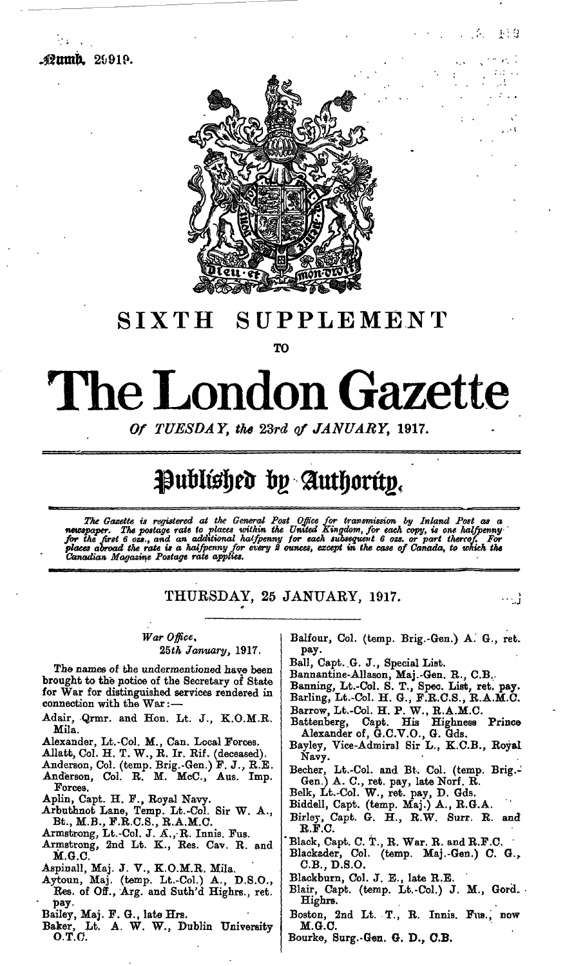

## SIXTH SUPPLEMENT

**TO**

## The London Gazette

Of TUESDAY, the 23rd of JANUARY, 1917.

## Published by Authority.

The Gazette is registered at the General Post Office for transmission by Inland Post as a<br>newspaper. The postage rate to places within the United Kingdom, for each copy, is one halfpenny<br>for the first 6 ozs., and an additi

THURSDAY, 25 JANUARY, 1917.

*War Office,*

*25th January,* 1917.

The names of the undermentioned have been brought to the notice of the Secretary of State for War for distinguished services rendered in connection with the War:-

- Adair, Qrmr. and Hon. Lt. J., K.O.M.R. Mila.
- Alexander, Lt.-Col. M., Can. Local Forces.
- Allatt, Col. H. T. W., R. Ir. Eif. (deceased).
- Anderson, Col. (temp. Brig.-Gen.) F. J., R.E. Anderson, Col. R. M. McC., Aus. Imp. Forces.
- Aplin, Capt. H. F., Royal Navy.

Arbuthnot Lane, Temp. Lt.-Col. Sir W. A., Bt., M.B., F.R.C.S., R.A.M.C.

- Armstrong, Lt.-Col. J. A., R. Innis. Fus.
- Armstrong, 2nd Lt. K., Res. Cav. R. and M.G.C.
- Aspinall, Maj. J. V., K.O.M.R. Mila.

Aytoun, Maj. (temp. Lt.-Col.) A., D.S.O.,

- Res. of Off., Arg. and Suth'd Highrs., ret. pay-
- Bailey, Maj. F. G., late Hrs.
- Baker, Lt. A. W. W., Dublin University O.T.O.

Balfour, Col, (temp. Brig.-Gen.) A. G., ret. pay.

主当母

J.  $\ddotsc$ 

-- 11

- Ball, Capt..G. J., Special List.
- Bannantine-Allason, Maj.-Gen. R., C.B.
- Banning, Lt.-Col. S. T., Spec. List, ret. pay.
- Barling, Lt.-Col. H. G., F.R.C.S., R.A.M.C.
- Barrow, Lt.-Col. H. P. W., R.A.M.C.
- Battenberg, Capt. His Highness Prince Alexander of, G.C.V.O., G. Gds.
- Bayley, Vice-Admiral Sir L., K.C.B., Royal Navy.
- Becher, Lt.-Col. and Bt. Col. (temp. Brig.- Gen.) A. C., ret. pay, late Norf. R.
- Belk, Lt.-Col. W., ret. pay, D. Gds.
- Biddell, Capt. (temp. Maj.) A., R.G.A.
- Birlsy, Capt. G. H., R.W. Surr. R. and R.F.C.
- Black, Capt. C. T., R. War. R. and R.F.C.
- Blackader, Col. (temp. Maj.-Gen.) C. G., C.B.,D.S.O.

Blackburn, Col. J. E., late R.E.

Blair, Capt. (temp. Lt.-Col.) J. M., Gord. Highrs.

Boston, 2nd Lt. T., R. Innis. Fus., now M.G.C.

Bourke, Surg.-Gen. G. D., C.B.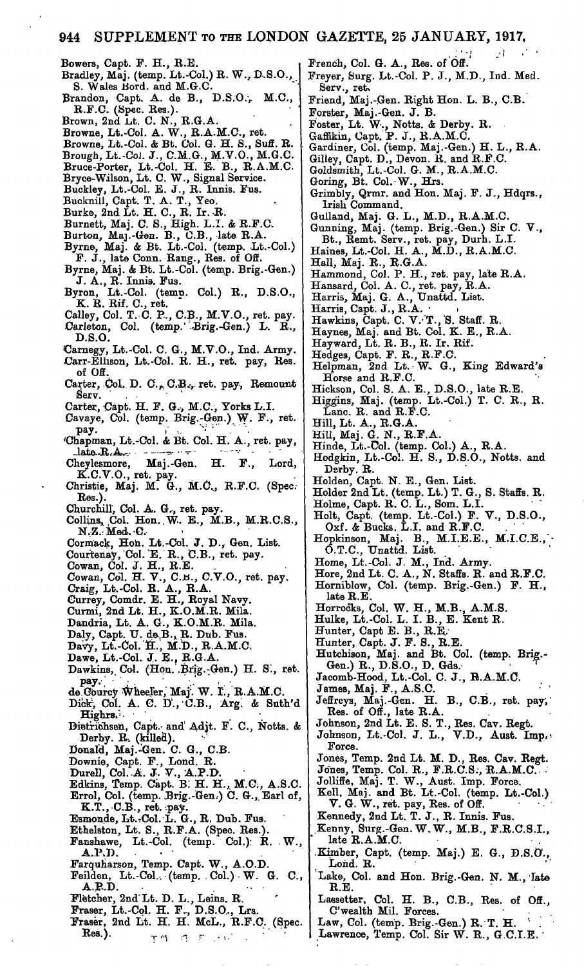Bowers, Capt. F. H., R.E. Bradley, Maj. (temp. Lt.-Col.) R. W., D.S.O.,

- S. Wales Bord. and M.G.C. Brandon, Capt. A. de B., D.S.O., M.C.,
- R.F.C. (Spec. Res.).
- Brown,  $2n\widetilde{d}$  .Lt. C. N.,  $R.G.A.$
- Browne, Lt.-Col. A. W., R.A.M.C., ret.
- Browne, Lt.-Col. & Bt. Col. G. H. S., Suff. R. Brough, Lt.-Coi. J., C.M.G., M.V.O., M.G.C.
- Bruce-Porter, Lt.-Col. H. E. B., R.A.M.C.
- Bryce-Wilson, Lt. C. W., Signal Service.
- Buckley, Lt.-Col. E. J., R. Innis. Fus.
- Bucknill, Capt. T. A. T., Yeo.
- Burke, 2nd Lt. H. C., R. Ir. R.
- Burnett, Maj. C. S., High. L.I. & R.F.C,
- Burton, Maj.-Gen. B., C.B., late R.A.
- Byrne, Maj. & Bt. Lt.-Col. (temp, Lt.-Col.) F. J., late Conn. Rang., Res. of Off.
- Byrne, Maj. & Bt. Lt.-Col. (temp. Brig.-Gen.) J. A., R. Innis. Fus.
- Byron, Lt.-Col. (temp. Col.) R., D.S.O., K. R. Rif. C., ret.
- Galley, Col. T. C. P., C.B., M.V.O., ret. pay. Carleton, Col. (temp. Brig.-Gen.) L. R., D.S.O.
- €arnegy, Lt.-Col. C. G., M.V.O., Ind. Army.
- Carr-Ellison, Lt.-Col. R. H., ret. pay, Res. of Off.
- Carter, Col. D. C., C.B., ret. pay, Remount  $Serv.$
- Carter, Capt. H. F. G., M.C., Yorks L.I.
- Cavaye, Col. (temp. Brig.-Gen.) W. F., ret.<br>pay.<br> $R^2$ .
- pay.<br>Chapman, Lt.-Col. & Bt. Col. H. A., ret. pay,<br>late R.A.
- Cheylesmore, Maj.-Gen. H. F., Lord, K.C.V.O., ret. pay.
- Christie, Maj. M. G., M.C.., R.F.C. (Spec. Res.)
- Churchill, Col. A. G., ret. pay.
- Collins, Col. Hon. W. E.,  $M.B., M.R.C.S.,$ N.Z.: Med. -C.
- Cormack, Hon. Lt.-Col. J. D., Gen. List.
- Courtenay, Col. E. R., C.B., ret. pay.
- Cowan, Col. J. H., R.E.
- Cowan, Col. H. V., C.B., C.V.O., ret. pay.
- Craig, Lt.-Col. R. A., R.A. Currey, Comdr. E. H., Royal Navy.
- Curmi, 2nd Lt. H., K.O.M.R. Mila.
- 
- Dandria, Lt. A. G., K.O.M.R. Mila.
- Daly, Capt. U. de,B., R. Dub. Fus.
- Davy, Lt.-Col. H., M.D., R.A.M.C.
- Dawe, Lt.-Col. J.. E., R.G.A.
- Dawkins, Col. (Hon. Brig.-Gen.) H. S., ret. pay.
- de Gourcy Wheeler, Maj. W. I., R.A.M.C.
- Dick, Col. A. C. D., C.B., Arg. & Suth'd Highrs.
- Dietrichsen, Capt. and Adjt. F. C., Notts. & Derby. R, (killed).
- Donald, Maj.-Gen. C. G., C.B.
- Downie, Capt. F., Lond. R.
- Durell, Col. A. J. V., A.P.D.
- Edkins, Temp. Capt. B. H. H., M.C., A.S.C.
- Errol, Col. (temp. Brig.-Gen.) C. G., Earl of,
- K.T., C.B., ret. pay. Esmonde, Lt.-Col. L. G., R. Dub. Fus.
- Ethelston, Lt. S., R.F.A. (Spec. Res.).
- Fanshawe, Lt.-Col. (temp. Col.) R. W., A.P.D.
- Farquharson, Temp. Capt. W., A.O.D.
- Feilden, Lt.-Col... (temp. . Col.) W. G. C., A.B.D.
- Fletcher, 2nd"Lt. D. L., Leins. R.
- Fraser, Lt.-Cql. H. F.., D.S.O,, Lrs.
- Fraser, 2nd Lt. H. H. McL., R.F.C. (Spec.  $Res.$ ).  $r \rightarrow r$  .  $r \rightarrow r$  .

French, Col. G. A., Res. of Off.

Freyer, Surg. Lt.-Col. P. J., M.D., Ind. Med. Serv., ret.

Friend, Maj.-Gen. Right Hon. L. B., C.B.

- Forster, Maj.-Gen. J. B.
- Foster, Lt.  $\mathbf{\tilde{W}}$ ., Notts. & Derby. R.
- Gaffikin, Capt. P. J., R.A.M.C.
- Gardiner, Col. (temp. Maj.-Gen.) H. L., R.A.
- Gilley, Capt. D., Devon. R. and R.F.C.
- Goldsmith, Lt.-Col. G. M., R.A.M.C.
- Goring, Bt. Col. W., Hrs.
- Grimbly, Qrmr. and Hon. Maj. F. J., Hdqrs., Irish Command.
- Gulland, Maj. G. L., M.D., R.A.M.C.
- Gunning, Maj. (temp. Brig.-Gen.) Sir C. V., Bt., Remt. Serv., ret. pay, Durh. L.I.
- Haines, Lt.-Col. H. A., M.D., R.A.M.C.
- Hall, Maj. R., R.G.A.
- Hammond, Col. P. H., ret. pay, late R.A.
- Hansard, Col. A. C., ret. pay, R.A.
- Harris, Maj. G. A., Unattd. List.
- Harris, Capt. J., R.A.
- Hawkins, Capt. C. V.-'T./S. Staff. R.
- Haynes, Maj. and Bt. Col. K. E., R.A.
- Hay ward, Lt. R. B., R. Ir. Rif.
- Hedges, Capt. F. R., R.F.C.
- Helpman, 2nd Lt. W.. G., King Edward's Horse and R.F.C.
- Hickson, Col. S. A. E., D.S.O., late R.E.
- Higglns, Maj. (temp. Lt.-Col.) T. C. R., R. Lane. R. and R.F.C.
- Hill, Lt. A., R.G.A.
- Hill, Maj. G. N., R.F.A.
- Hinde, Lt.-Col. (temp. Col.) A., R.A.
- Hodgkin, Lt.-Col. H. S., D.S.O., Notts, and Derby. R.
- Holden, Capt. N. E., Gen. List.

Holder 2nd Lt. (temp. Lt.) T. G., S. Staffs. R.

- Holme, Capt. R. C. L., Som. L.I.
- Holt, Capt. (temp. Lt.-Col.) F. V., D.S.O., Oxf. & Bucks. L.I. and R.F.C.
- Hopkinson, Maj. B., M.I.E.E., M.I.C.E., O.T.C., Unattd. List.
- Home, Lt.-Col. J. M., Ind. Army.
- Hore, 2nd Lt. C. A., N. Staffs. R. and R.F.C.
- Horniblow, Col. (temp. Brig.-Gen.) F. H., late R.E.
- Horrocks, Col. W. H., M.B., A.M.S.
- Hulke, Lt.-Col. L. I. B., E. Kent R.
- Hunter, Capt E. B., R.E.
- Hunter, Capt. J. F. S., R.E.

Res. of Off., late R.A.

Force.

late R.A.M.C.

C'wealth Mil. Forces.

Lond. R.

R.E.

Hutchison, Maj. and Bt. Col. (temp. Brig.- Gen.) R., D.S.O., D. Gds. '

Jeffreys, Maj.-Gen. H. B., C.B., ret. pay,

Jones, Temp. 2nd Lt. M. D., Res. Cav. Regt. Jones, Temp. Col. R., F.R.C.S., R.A.M.C. Jolliffe, Maj. T. W., Aust. Imp. Force. Kell, Maj. and Bt. Lt.-Col. (temp. Lt.-Col.)

.Kimber, Capt. (temp. Maj.) E. G., D.S.O'.,

Lake, Col. and Hon. Brig.-Gen. N. M., late

Lassetter, Col. H. B., C.B., Res. of Off.,

Law, Col. (temp. Brig.-Gen.) R. T. H. Lawrence, Temp. Col. Sir W. R., G.C.I.E.

Jacomb-Hood, Lt.-Col. C. J., R.A.M.C. James, Maj. F., A.S.C.  $\sim$   $\sim$   $\sim$   $\sim$ 

Johnson, 2nd Lt. E. S. T., Res. Cav. Regt. Johnson, Lt.-Col. J. L., V.D., Aust. Imp.

V. G. W., ret. pay, Res. of Off. Kennedy, 2nd Lt. T. J., R. Innis. Fus. Kenny, Surg.-Gen. W. W., M.B., F.R.C.S.I.,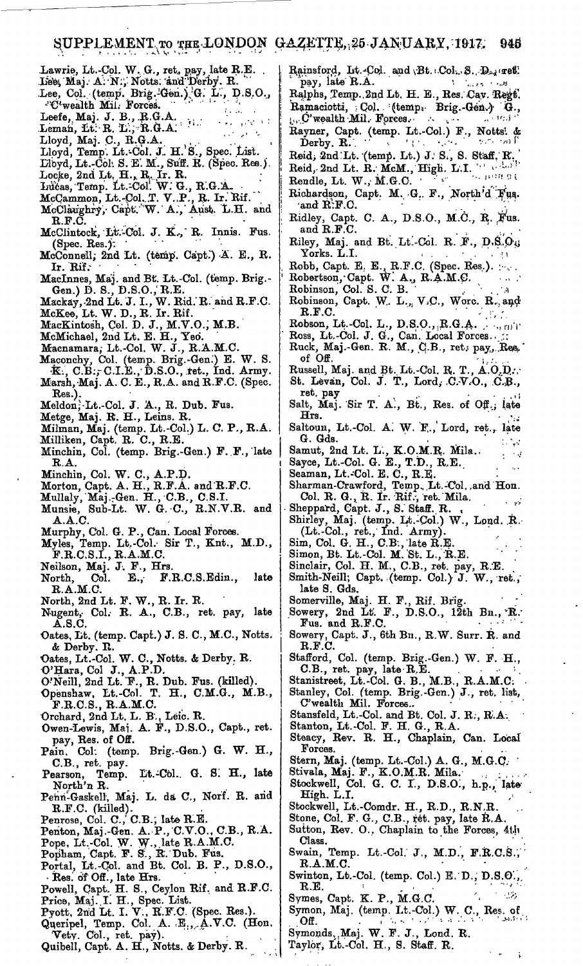- Lawrie, Lt.-Col. W. G., ret. pay, late R.E.<br>Lies, Maj. A. N., Notts. and Derby. R. Lee, Col. (temp. Brig. Gen.) G. L., D.S.O., "C'wealth Mil. Forces. Leefe, Maj. J. B., R.G.A.<br>Leman, Lt. R. L., R.G.A.<br>Lloyd, Maj. C., R.G.A. فالأنافذ والرجاء Lloyd, Temp. Lt. Col. J. H. S., Spec. List. Libyd, Lt.-Col. S. E. M., Suff. R. (Spec. Res.). Locke, 2nd Lt. H., R. Ir. R.<br>Inicas, Temp. Lt.-Col. W. G., R.G.A.<br>McCammon, Lt.-Col. T. V..P., R. Ir. Rif.<br>McClaughry, Capt. W. A., Aust. L.H. and R.F.C. McClintock, Lt.-Col. J. K., R. Innis. Fus.  $(Spec. Res.)$ : McConnell; 2nd Lt. (temp. Capt.) A. E., R. Ir.  $Rif.$ MacInnes, Maj. and Bt. Lt.-Col. (temp. Brig.-<br>Gen.) D. S., D.S.O., R.E.<br>Mackay, 2nd Lt. J. I., W. Rid. R. and R.F.C.<br>McKee, Lt. W. D., R. Ir. Rif. MacKintosh, Col. D. J., M.V.O., M.B.<br>McMichael, 2nd Lt. E. H., Yeo. Macnamara, Lt.-Col. W. J., R.A.M.C. Maconchy, Col. (temp. Brig.-Gen.) E. W. S.<br>K., C.B., C.I.E., D.S.O., ret., Ind. Army. Marsh, Maj. A. C. E., R.A. and R.F.C. (Spec. Res.).<br>Meldon, Lt.-Col. J. A., R. Dub. Fus. Metge, Maj. R. H., Leins. R. Milman, Maj. (temp. Lt.-Col.) L. C. P., R.A. Milliken, Capt. R. C., R.E. Minchin, Col. (temp. Brig.-Gen.) F. F., late  $\mathbf{R}.\mathbf{A}.$ Minchin, Col. W. C., A.P.D. Morton, Capt. A. H., R.F.A. and R.F.C. Mullaly, Maj.-Gen. H., C.B., C.S.I.<br>Munsie, Sub-Lt. W. G. C., R.N.V.R. and<br>A.A.C. Murphy, Col. G. P., Can. Local Forces. Myles, Temp. Lt.-Col. Sir T., Knt., M.D.,  $F.R.C.S.I., R.A.M.C.$ Neilson, Maj. J. F., Hrs. F.R.C.S.Edin., E., lato North, Col.  $R.A.M.C.$ North, 2nd Lt. F. W., R. Ir. R. Nugent, Col. R. A., C.B., ret. pay, late  $\mathbf{A}.\mathbf{S}.\mathbf{C}$ Oates, Lt. (temp. Capt.) J. S. C., M.C., Notts. & Derby. R. Oates, Lt.-Col. W. C., Notts. & Derby. R.<br>O'Hara, Col J., A.P.D.<br>O'Neill, 2nd Lt. F., R. Dub. Fus. (killed).<br>Openshaw, Lt.-Col. T. H., C.M.G., M.B.,  $F.R.C.S., R.A.M.C.$ Orchard, 2nd Lt. L. B., Leic. R. Owen-Lewis, Maj. A. F., D.S.O., Capt., ret. pay, Res. of Off.<br>Pain. Col. (temp. Brig.-Gen.) G. W. H., C.B., ret. pay. Pearson, Temp. Lt.-Col. G. S. H., late North'n R. Penn-Gaskell, Maj. L. da C., Norf. R. and R.F.C. (killed).<br>Penrose, Col. C., C.B., late R.E. Penton, Maj.-Gen. A. P., C.V.O., C.B., R.A.<br>Pope, Lt.-Col. W. W., late R.A.M.C.<br>Popham, Capt. F. S., R. Dub. Fus. Portal, Lt.-Col. and Bt. Col. B. P., D.S.O.,
- Res. of Off., late Hrs.
- Powell, Capt. H. S., Ceylon Rif. and R.F.C.<br>Price, Maj. I. H., Spec. List.<br>Pyott, 2nd Lt. I. V., R.F.C. (Spec. Res.).
- 
- Queripel, Temp. Col. A. E., A.V.C. (Hon.
- Vety. Col., ret. pay).
- Quibell, Capt. A. H., Notts. & Derby. R.
- Rainsford, Lt.-Col. and Bt.: Col. S. D., ret. pay, late R.A.  $\mathcal{X}=\mathcal{X}_{\text{max}}\times\mathcal{X}$  and
- Ralphs, Temp. 2nd Lt. H. E., Res. Cav. Regt. Ramaciotti, Col. (temp. Brig.-Gen.) G.,  $\sim 0.6$  $\mathbf{C}$  wealth Mil. Forces.  $\mathbf{C}$
- Rayner, Capt. (temp. Lt.-Col.) F., Notts: & Derby, R.  $\sim 10^7$
- Derby. R.<br>Reid, 2nd I.t. (temp. Lt.) J. S., S. Staff. R.<br>Reid, 2nd Lt. R. McM., High. L.I.
- Rendle, Lt. W., M.G.C.
- Richardson, Capt. M. G. F., North'd Fus. and R.F.C.
- Ridley, Capt. C. A., D.S.O., M.C., R. Fus. and R.F.C.
- Riley, Maj. and Bt. Lt.-Col. R. F., D.S.O., Yorks. L.I.
- Robb, Capt. E. E., R.F.C. (Spec. Res.).<br>Robertson, Capt. W. A., R.A.M.C.<br>Robinson, Col. S. C. B.
- 
- Robinson, Capt. W. L., V.C., Wore. R., and  $\mathbf{R}.\mathbf{F}.\mathbf{C}$
- 
- 
- Robson, Lt.-Col. L., D.S.O., R.G.A.<br>Ross, Lt.-Col. J. G., Can. Local Forces. of Off
- Russell, Maj. and Bt. Lt.-Col. R. T., A.O.D. St. Levan, Col. J. T., Lord, C.V.O., C.B.,
- ret. pay Salt, Maj. Sir T. A., Bt., Res. of Off., late Hrs.
- Saltoun, Lt.-Col. A. W. F., Lord, ret., late G. Gds.  $\mathcal{L}_{\text{max}}$

 $\sim 10$ 

Î.

- Samut, 2nd Lt. L., K.O.M.R. Mila..<br>Sayce, Lt.-Col. G. E., T.D., R.E.<br>Seaman, Lt.-Col. E. C., R.E.
- 
- 
- Sharman-Crawford, Temp. Lt.-Col. and Hon. Col. R. G., R. Ir. Rif., ret. Mila.
- Sheppard, Capt. J., S. Staff. R.
- Shirley, Maj. (temp. Lt. Col.) W., Lond. R.<br>(Lt. Col., ret., Ind. Army).
- 
- 
- 
- Sim, Col. G. H., C.B., late R.E.<br>Simon, Bt. Lt.-Col. M. St. L., R.E.<br>Sinclair, Col. H. M., C.B., ret. pay, R.E.<br>Smith-Neill; Capt. (temp. Col.) J. W., ret., late S. Gds.
- Somerville, Maj. H. F., Rif. Brig.
- Sowery, 2nd Lt. F., D.S.O., 12th Bn., R.  $Fus.$  and  $R.F.C.$
- Sowery, Capt. J., 6th Bn., R.W. Surr. R. and R.F.C.
- Stafford, Col. (temp. Brig.-Gen.) W. F. H., C.B., ret. pay, late R.E.<br>Stanistreet, Lt.-Col. G. B., M.B., R.A.M.C.
- 
- Stanley, Col. (temp. Brig.-Gen.) J., ret. list, C'wealth Mil. Forces.
- 
- 
- Stansfeld, Lt.-Col. and Bt. Col. J. R., R.A.<br>Stanton, Lt.-Col. F. H. G., R.A.<br>Steacy, Rev. R. H., Chaplain, Can. Local Forces.
- 
- 
- Stern, Maj. (temp. Lt.-Col.) A. G., M.G.C.<br>Stivala, Maj. F., K.O.M.R. Mila.<br>Stockwell, Col. G. C. I., D.S.O., h.p., late High. L.I.
- Stockwell, Lt.-Comdr. H., R.D., R.N.R
- Stone, Col. F. G., C.B., ret. pay, late R.A.
- Sutton, Rev. O., Chaplain to the Forces, 4th Class.
- Swain, Temp. Lt.-Col. J., M.D., F.R.C.S.,  $R.A.M.C.$
- Swinton, Lt.-Col. (temp. Col.) E. D., D.S.O., R.E.  $\gamma \sim 12$
- Symes, Capt. K. P., M.G.C.
- Symon, Maj. (temp. Lt.-Col.) W. C., Res. of Off.
- Symonds, Maj. W. F. J., Lond. R. Taylor, Lt.-Col. H., S. Staff. R.